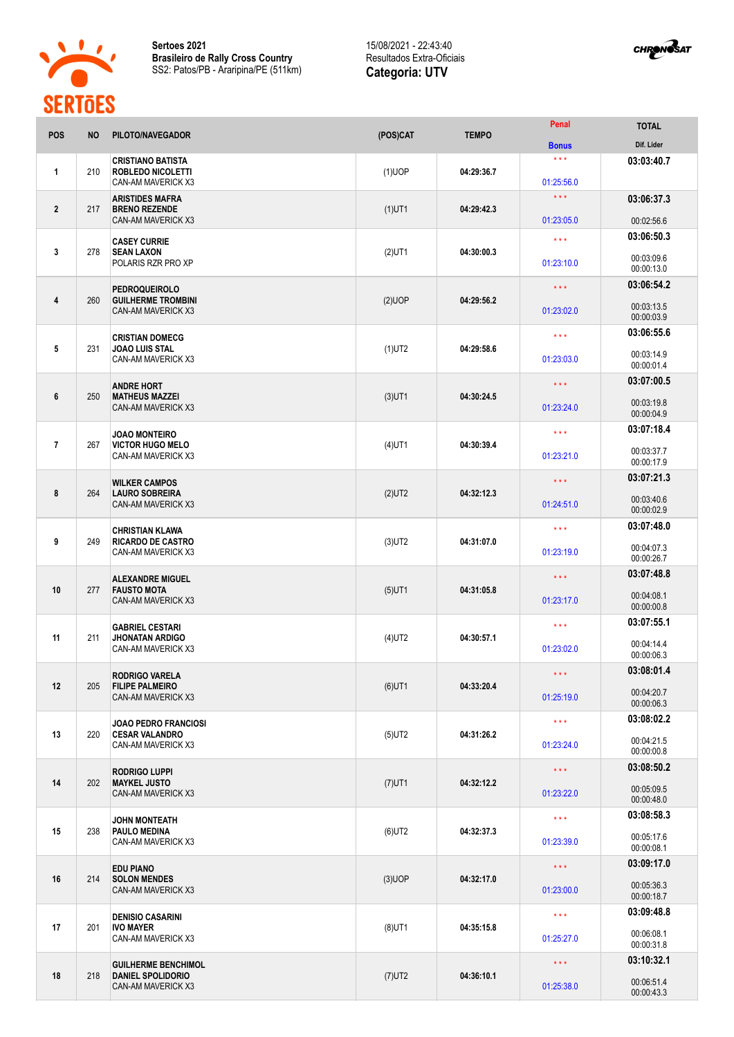

**Sertoes 2021 Brasileiro de Rally Cross Country** SS2: Patos/PB - Araripina/PE (511km)

## 15/08/2021 - 22:43:40 Resultados Extra-Oficiais **Categoria: UTV**



| <b>POS</b>     | <b>NO</b> | PILOTO/NAVEGADOR                                                           | (POS)CAT  | <b>TEMPO</b> | Penal                                 | <b>TOTAL</b>             |
|----------------|-----------|----------------------------------------------------------------------------|-----------|--------------|---------------------------------------|--------------------------|
|                |           |                                                                            |           |              | <b>Bonus</b>                          | Dif. Lider               |
| 1              | 210       | <b>CRISTIANO BATISTA</b><br><b>ROBLEDO NICOLETTI</b><br>CAN-AM MAVERICK X3 | $(1)$ UOP | 04:29:36.7   | $\star \star \star$<br>01:25:56.0     | 03:03:40.7               |
| $\mathbf{2}$   | 217       | <b>ARISTIDES MAFRA</b><br><b>BRENO REZENDE</b>                             | $(1)$ UT1 | 04:29:42.3   | $\star \star \star$                   | 03:06:37.3               |
|                |           | CAN-AM MAVERICK X3                                                         |           |              | 01:23:05.0                            | 00:02:56.6               |
| 3              | 278       | <b>CASEY CURRIE</b><br><b>SEAN LAXON</b><br>POLARIS RZR PRO XP             | $(2)$ UT1 | 04:30:00.3   | $\star$ $\star$ $\star$<br>01:23:10.0 | 03:06:50.3<br>00:03:09.6 |
|                |           |                                                                            |           |              |                                       | 00:00:13.0<br>03:06:54.2 |
| 4              | 260       | <b>PEDROQUEIROLO</b><br><b>GUILHERME TROMBINI</b><br>CAN-AM MAVERICK X3    | $(2)$ UOP | 04:29:56.2   | $\star$ $\star$ $\star$<br>01:23:02.0 | 00:03:13.5<br>00:00:03.9 |
|                |           |                                                                            |           |              | $\star \star \star$                   | 03:06:55.6               |
| 5              | 231       | <b>CRISTIAN DOMECG</b><br><b>JOAO LUIS STAL</b><br>CAN-AM MAVERICK X3      | $(1)$ UT2 | 04:29:58.6   | 01:23:03.0                            | 00:03:14.9<br>00:00:01.4 |
|                |           | <b>ANDRE HORT</b>                                                          |           |              | * * *                                 | 03:07:00.5               |
| 6              | 250       | <b>MATHEUS MAZZEI</b><br><b>CAN-AM MAVERICK X3</b>                         | $(3)$ UT1 | 04:30:24.5   | 01:23:24.0                            | 00:03:19.8<br>00:00:04.9 |
|                |           | <b>JOAO MONTEIRO</b>                                                       |           |              | $***$                                 | 03:07:18.4               |
| $\overline{1}$ | 267       | <b>VICTOR HUGO MELO</b><br>CAN-AM MAVERICK X3                              | $(4)$ UT1 | 04:30:39.4   | 01:23:21.0                            | 00:03:37.7<br>00:00:17.9 |
|                |           | <b>WILKER CAMPOS</b>                                                       |           |              | $\star \star \star$                   | 03:07:21.3               |
| 8              | 264       | <b>LAURO SOBREIRA</b><br>CAN-AM MAVERICK X3                                | $(2)$ UT2 | 04:32:12.3   | 01:24:51.0                            | 00:03:40.6<br>00:00:02.9 |
|                |           | <b>CHRISTIAN KLAWA</b>                                                     |           |              | $\star \star \star$                   | 03:07:48.0               |
| 9              | 249       | <b>RICARDO DE CASTRO</b><br>CAN-AM MAVERICK X3                             | $(3)$ UT2 | 04:31:07.0   | 01:23:19.0                            | 00:04:07.3<br>00:00:26.7 |
|                |           | <b>ALEXANDRE MIGUEL</b>                                                    |           |              | $\star\star\star$                     | 03:07:48.8               |
| 10             | 277       | <b>FAUSTO MOTA</b><br><b>CAN-AM MAVERICK X3</b>                            | $(5)$ UT1 | 04:31:05.8   | 01:23:17.0                            | 00:04:08.1<br>00:00:00.8 |
|                |           | <b>GABRIEL CESTARI</b>                                                     |           |              | $***$                                 | 03:07:55.1               |
| 11             | 211       | <b>JHONATAN ARDIGO</b><br>CAN-AM MAVERICK X3                               | $(4)$ UT2 | 04:30:57.1   | 01:23:02.0                            | 00:04:14.4<br>00:00:06.3 |
|                |           | <b>RODRIGO VARELA</b>                                                      |           |              | $\star\star\star$                     | 03:08:01.4               |
| 12             | 205       | <b>FILIPE PALMEIRO</b><br>CAN-AM MAVERICK X3                               | $(6)$ UT1 | 04:33:20.4   | 01:25:19.0                            | 00:04:20.7<br>00:00:06.3 |
|                |           | <b>JOAO PEDRO FRANCIOSI</b>                                                |           |              | $\star$ $\star$ $\star$               | 03:08:02.2               |
| 13             | 220       | <b>CESAR VALANDRO</b><br>CAN-AM MAVERICK X3                                | $(5)$ UT2 | 04:31:26.2   | 01:23:24.0                            | 00:04:21.5<br>00:00:00.8 |
|                |           | <b>RODRIGO LUPPI</b>                                                       |           |              | $\star$ $\star$ $\star$               | 03:08:50.2               |
| 14             | 202       | <b>MAYKEL JUSTO</b><br>CAN-AM MAVERICK X3                                  | $(7)$ UT1 | 04:32:12.2   | 01:23:22.0                            | 00:05:09.5<br>00:00:48.0 |
|                | 238       | <b>JOHN MONTEATH</b><br><b>PAULO MEDINA</b><br>CAN-AM MAVERICK X3          | $(6)$ UT2 |              | $\star$ $\star$ $\star$               | 03:08:58.3               |
| 15             |           |                                                                            |           | 04:32:37.3   | 01:23:39.0                            | 00:05:17.6<br>00:00:08.1 |
|                |           | <b>EDU PIANO</b>                                                           |           |              | $\star \star \star$                   | 03:09:17.0               |
| 16             | 214       | <b>SOLON MENDES</b><br>CAN-AM MAVERICK X3                                  | $(3)$ UOP | 04:32:17.0   | 01:23:00.0                            | 00:05:36.3<br>00:00:18.7 |
|                |           | <b>DENISIO CASARINI</b>                                                    |           |              | $\star$ $\star$ $\star$               | 03:09:48.8               |
| 17             | 201       | <b>IVO MAYER</b><br>CAN-AM MAVERICK X3                                     | $(8)$ UT1 | 04:35:15.8   | 01:25:27.0                            | 00:06:08.1<br>00:00:31.8 |
|                |           | <b>GUILHERME BENCHIMOL</b>                                                 |           | 04:36:10.1   | $\star \star \star$                   | 03:10:32.1               |
| 18             | 218       | <b>DANIEL SPOLIDORIO</b><br>CAN-AM MAVERICK X3                             | $(7)$ UT2 |              | 01:25:38.0                            | 00:06:51.4<br>00:00:43.3 |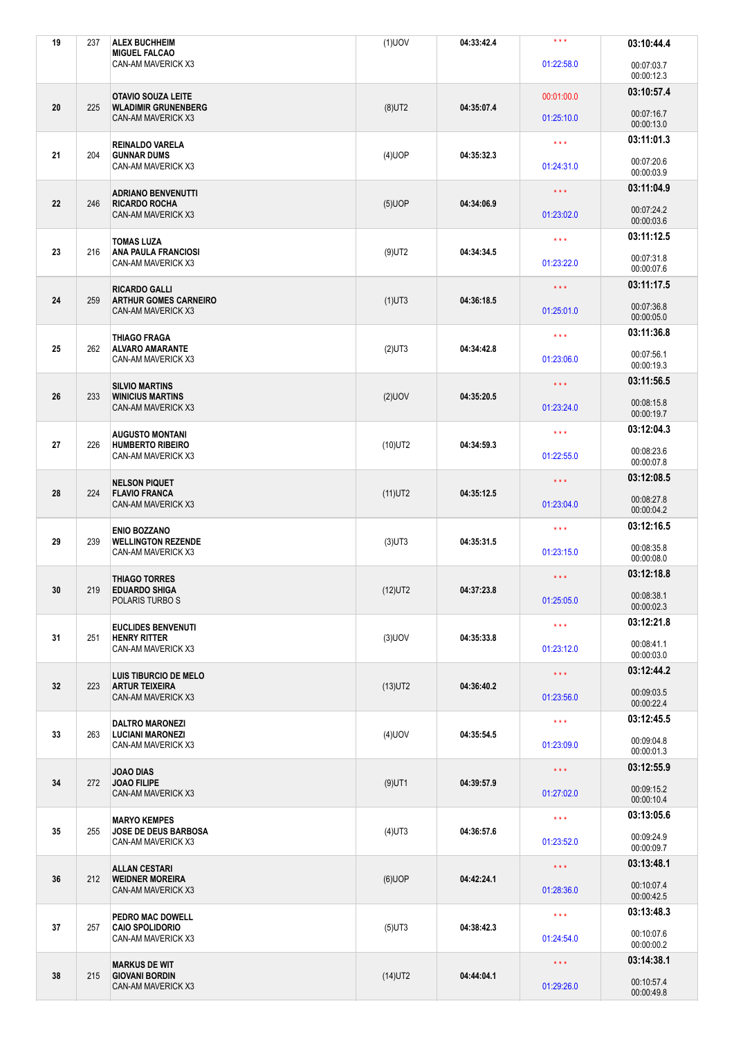| 19 | 237 | <b>ALEX BUCHHEIM</b><br><b>MIGUEL FALCAO</b>                                   | $(1)$ UOV  | 04:33:42.4 | $***$                   | 03:10:44.4               |
|----|-----|--------------------------------------------------------------------------------|------------|------------|-------------------------|--------------------------|
|    |     | CAN-AM MAVERICK X3                                                             |            |            | 01:22:58.0              | 00:07:03.7<br>00:00:12.3 |
|    |     | <b>OTAVIO SOUZA LEITE</b>                                                      |            |            | 00:01:00.0              | 03:10:57.4               |
| 20 | 225 | <b>WLADIMIR GRUNENBERG</b><br>CAN-AM MAVERICK X3                               | $(8)$ UT2  | 04:35:07.4 | 01:25:10.0              | 00:07:16.7<br>00:00:13.0 |
|    |     | <b>REINALDO VARELA</b>                                                         |            |            | $\star$ $\star$ $\star$ | 03:11:01.3               |
| 21 | 204 | <b>GUNNAR DUMS</b><br>CAN-AM MAVERICK X3                                       | $(4)$ UOP  | 04:35:32.3 | 01:24:31.0              | 00:07:20.6<br>00:00:03.9 |
|    |     | <b>ADRIANO BENVENUTTI</b>                                                      |            |            | $\star$ $\star$ $\star$ | 03:11:04.9               |
| 22 | 246 | <b>RICARDO ROCHA</b><br><b>CAN-AM MAVERICK X3</b>                              | $(5)$ UOP  | 04:34:06.9 | 01:23:02.0              | 00:07:24.2<br>00:00:03.6 |
|    |     | <b>TOMAS LUZA</b>                                                              |            |            | $\star \star \star$     | 03:11:12.5               |
| 23 | 216 | <b>ANA PAULA FRANCIOSI</b><br>CAN-AM MAVERICK X3                               | $(9)$ UT2  | 04:34:34.5 | 01:23:22.0              | 00:07:31.8<br>00:00:07.6 |
| 24 | 259 | <b>RICARDO GALLI</b>                                                           |            |            | $\star$ $\star$ $\star$ | 03:11:17.5               |
|    |     | <b>ARTHUR GOMES CARNEIRO</b><br>CAN-AM MAVERICK X3                             | $(1)$ UT3  | 04:36:18.5 | 01:25:01.0              | 00:07:36.8<br>00:00:05.0 |
|    |     | <b>THIAGO FRAGA</b>                                                            |            |            | $\star$ $\star$ $\star$ | 03:11:36.8               |
| 25 | 262 | <b>ALVARO AMARANTE</b><br>CAN-AM MAVERICK X3                                   | $(2)$ UT3  | 04:34:42.8 | 01:23:06.0              | 00:07:56.1<br>00:00:19.3 |
|    |     | <b>SILVIO MARTINS</b>                                                          |            |            | $\star\star\star$       | 03:11:56.5               |
| 26 | 233 | <b>WINICIUS MARTINS</b><br>CAN-AM MAVERICK X3                                  | $(2)$ UOV  | 04:35:20.5 | 01:23:24.0              | 00:08:15.8<br>00:00:19.7 |
|    |     | <b>AUGUSTO MONTANI</b>                                                         |            |            | $\star \star \star$     | 03:12:04.3               |
| 27 | 226 | <b>HUMBERTO RIBEIRO</b><br>CAN-AM MAVERICK X3                                  | $(10)$ UT2 | 04:34:59.3 | 01:22:55.0              | 00:08:23.6<br>00:00:07.8 |
|    |     | <b>NELSON PIQUET</b>                                                           |            |            | $\star$ $\star$ $\star$ | 03:12:08.5               |
| 28 | 224 | <b>FLAVIO FRANCA</b><br><b>CAN-AM MAVERICK X3</b>                              | $(11)$ UT2 | 04:35:12.5 | 01:23:04.0              | 00:08:27.8<br>00:00:04.2 |
|    |     | <b>ENIO BOZZANO</b>                                                            |            |            | $\star \star \star$     | 03:12:16.5               |
| 29 | 239 | <b>WELLINGTON REZENDE</b><br>CAN-AM MAVERICK X3                                | $(3)$ UT3  | 04:35:31.5 | 01:23:15.0              | 00:08:35.8<br>00:00:08.0 |
|    |     | <b>THIAGO TORRES</b>                                                           |            |            | $\star \star \star$     | 03:12:18.8               |
| 30 | 219 | <b>EDUARDO SHIGA</b><br>POLARIS TURBO S                                        | $(12)$ UT2 | 04:37:23.8 | 01:25:05.0              | 00:08:38.1<br>00:00:02.3 |
|    |     | <b>EUCLIDES BENVENUTI</b>                                                      |            |            | $\star \star \star$     | 03:12:21.8               |
| 31 | 251 | <b>HENRY RITTER</b><br>CAN-AM MAVERICK X3                                      | $(3)$ UOV  | 04:35:33.8 | 01:23:12.0              | 00:08:41.1<br>00:00:03.0 |
|    |     | LUIS TIBURCIO DE MELO                                                          |            |            | $\star\star\star$       | 03:12:44.2               |
| 32 | 223 | <b>ARTUR TEIXEIRA</b><br>CAN-AM MAVERICK X3                                    | $(13)$ UT2 | 04:36:40.2 | 01:23:56.0              | 00:09:03.5<br>00:00:22.4 |
|    |     | <b>DALTRO MARONEZI</b><br>263<br><b>LUCIANI MARONEZI</b><br>CAN-AM MAVERICK X3 | $(4)$ UOV  | 04:35:54.5 | $\star \star \star$     | 03:12:45.5               |
| 33 |     |                                                                                |            |            | 01:23:09.0              | 00:09:04.8<br>00:00:01.3 |
|    |     | <b>JOAO DIAS</b>                                                               |            |            | $\star\star\star$       | 03:12:55.9               |
| 34 | 272 | <b>JOAO FILIPE</b><br>CAN-AM MAVERICK X3                                       | $(9)$ UT1  | 04:39:57.9 | 01:27:02.0              | 00:09:15.2<br>00:00:10.4 |
|    |     | <b>MARYO KEMPES</b><br>JOSE DE DEUS BARBOSA<br>CAN-AM MAVERICK X3              | $(4)$ UT3  | 04:36:57.6 | $\star$ $\star$ $\star$ | 03:13:05.6               |
| 35 | 255 |                                                                                |            |            | 01:23:52.0              | 00:09:24.9<br>00:00:09.7 |
|    |     | <b>ALLAN CESTARI</b><br><b>WEIDNER MOREIRA</b><br>CAN-AM MAVERICK X3           | $(6)$ UOP  |            | $\star\star\star$       | 03:13:48.1               |
| 36 | 212 |                                                                                |            | 04:42:24.1 | 01:28:36.0              | 00:10:07.4<br>00:00:42.5 |
|    |     | PEDRO MAC DOWELL                                                               |            |            | $\star$ $\star$ $\star$ | 03:13:48.3               |
| 37 | 257 | <b>CAIO SPOLIDORIO</b><br>CAN-AM MAVERICK X3                                   | $(5)$ UT3  | 04:38:42.3 | 01:24:54.0              | 00:10:07.6<br>00:00:00.2 |
|    |     | <b>MARKUS DE WIT</b><br><b>GIOVANI BORDIN</b><br>CAN-AM MAVERICK X3            | $(14)$ UT2 | 04:44:04.1 | $\star\star\star$       | 03:14:38.1               |
| 38 | 215 |                                                                                |            |            | 01:29:26.0              | 00:10:57.4<br>00:00:49.8 |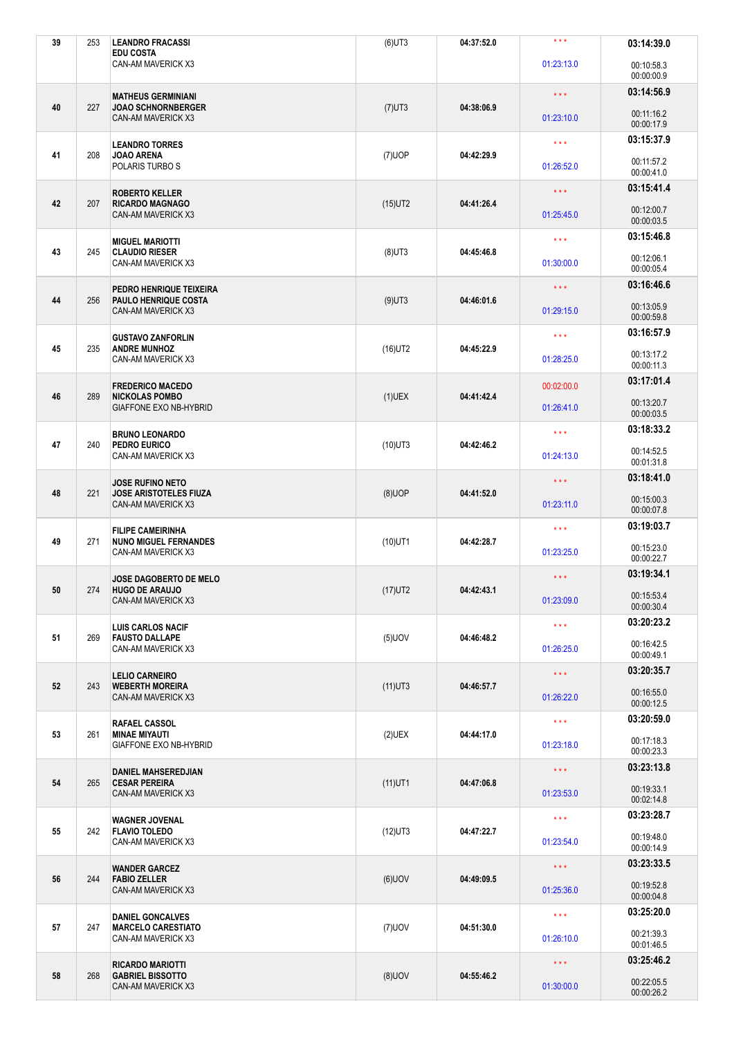| 39 | 253                                                   | <b>LEANDRO FRACASSI</b><br><b>EDU COSTA</b>                                           | $(6)$ UT3  | 04:37:52.0 | $***$                    | 03:14:39.0               |
|----|-------------------------------------------------------|---------------------------------------------------------------------------------------|------------|------------|--------------------------|--------------------------|
|    |                                                       | CAN-AM MAVERICK X3                                                                    |            |            | 01:23:13.0               | 00:10:58.3<br>00:00:00.9 |
|    |                                                       | <b>MATHEUS GERMINIANI</b>                                                             |            | 04:38:06.9 | $\star \star \star$      | 03:14:56.9               |
| 40 | 227                                                   | <b>JOAO SCHNORNBERGER</b><br>CAN-AM MAVERICK X3                                       | $(7)$ UT3  |            | 01:23:10.0               | 00:11:16.2<br>00:00:17.9 |
|    |                                                       | <b>LEANDRO TORRES</b>                                                                 |            |            | $\star \star \star$      | 03:15:37.9               |
| 41 | 208                                                   | <b>JOAO ARENA</b><br>POLARIS TURBO S                                                  | $(7)$ UOP  | 04:42:29.9 | 01:26:52.0               | 00:11:57.2<br>00:00:41.0 |
|    |                                                       | <b>ROBERTO KELLER</b>                                                                 |            |            | $\star \star \star$      | 03:15:41.4               |
| 42 | 207                                                   | <b>RICARDO MAGNAGO</b><br>CAN-AM MAVERICK X3                                          | $(15)$ UT2 | 04:41:26.4 | 01:25:45.0               | 00:12:00.7<br>00:00:03.5 |
|    |                                                       | <b>MIGUEL MARIOTTI</b>                                                                |            |            | $\star \star \star$      | 03:15:46.8               |
| 43 | 245                                                   | <b>CLAUDIO RIESER</b><br>CAN-AM MAVERICK X3                                           | $(8)$ UT3  | 04:45:46.8 | 01:30:00.0               | 00:12:06.1<br>00:00:05.4 |
| 44 | 256                                                   | PEDRO HENRIQUE TEIXEIRA<br><b>PAULO HENRIQUE COSTA</b>                                | $(9)$ UT3  | 04:46:01.6 | $\star \star \star$      | 03:16:46.6               |
|    |                                                       | CAN-AM MAVERICK X3                                                                    |            |            | 01:29:15.0               | 00:13:05.9<br>00:00:59.8 |
| 45 | 235                                                   | <b>GUSTAVO ZANFORLIN</b><br><b>ANDRE MUNHOZ</b>                                       |            | 04:45:22.9 | $\star$ $\star$ $\star$  | 03:16:57.9               |
|    |                                                       | CAN-AM MAVERICK X3                                                                    | $(16)$ UT2 |            | 01:28:25.0               | 00:13:17.2<br>00:00:11.3 |
|    |                                                       | <b>FREDERICO MACEDO</b>                                                               |            |            | 00:02:00.0               | 03:17:01.4               |
| 46 | 289                                                   | <b>NICKOLAS POMBO</b><br>GIAFFONE EXO NB-HYBRID                                       | $(1)$ UEX  | 04:41:42.4 | 01:26:41.0               | 00:13:20.7<br>00:00:03.5 |
| 47 |                                                       | <b>BRUNO LEONARDO</b><br>PEDRO EURICO                                                 | $(10)$ UT3 | 04:42:46.2 | $\star \star \star$      | 03:18:33.2               |
|    | 240                                                   | CAN-AM MAVERICK X3                                                                    |            |            | 01:24:13.0               | 00:14:52.5<br>00:01:31.8 |
|    |                                                       | <b>JOSE RUFINO NETO</b><br><b>JOSE ARISTOTELES FIUZA</b><br><b>CAN-AM MAVERICK X3</b> | $(8)$ UOP  | 04:41:52.0 | $\star$ $\star$ $\star$  | 03:18:41.0               |
| 48 | 221                                                   |                                                                                       |            |            | 01:23:11.0               | 00:15:00.3<br>00:00:07.8 |
| 49 | 271                                                   | <b>FILIPE CAMEIRINHA</b><br><b>NUNO MIGUEL FERNANDES</b>                              | $(10)$ UT1 |            | $\star \star \star$      | 03:19:03.7               |
|    |                                                       | CAN-AM MAVERICK X3                                                                    |            | 04:42:28.7 | 01:23:25.0               | 00:15:23.0<br>00:00:22.7 |
|    | 274                                                   | <b>JOSE DAGOBERTO DE MELO</b><br><b>HUGO DE ARAUJO</b>                                | $(17)$ UT2 |            | $\star \star \star$      | 03:19:34.1               |
| 50 |                                                       | CAN-AM MAVERICK X3                                                                    |            | 04:42:43.1 | 01:23:09.0               | 00:15:53.4<br>00:00:30.4 |
| 51 | 269                                                   | <b>LUIS CARLOS NACIF</b><br><b>FAUSTO DALLAPE</b>                                     |            | 04:46:48.2 | $\star \star \star$      | 03:20:23.2               |
|    |                                                       | CAN-AM MAVERICK X3                                                                    | $(5)$ UOV  |            | 01:26:25.0               | 00:16:42.5<br>00:00:49.1 |
|    |                                                       | <b>LELIO CARNEIRO</b>                                                                 |            |            | $\star\star\star$        | 03:20:35.7               |
| 52 | 243                                                   | <b>WEBERTH MOREIRA</b><br>CAN-AM MAVERICK X3                                          | $(11)$ UT3 | 04:46:57.7 | 01:26:22.0               | 00:16:55.0<br>00:00:12.5 |
|    |                                                       | <b>RAFAEL CASSOL</b>                                                                  |            |            | $\star \star \star$      | 03:20:59.0               |
| 53 | 261<br><b>MINAE MIYAUTI</b><br>GIAFFONE EXO NB-HYBRID | $(2)$ UEX                                                                             | 04:44:17.0 | 01:23:18.0 | 00:17:18.3<br>00:00:23.3 |                          |
|    | 265                                                   | <b>DANIEL MAHSEREDJIAN</b><br><b>CESAR PEREIRA</b><br>CAN-AM MAVERICK X3              |            | 04:47:06.8 | $\star\star\star$        | 03:23:13.8               |
| 54 |                                                       |                                                                                       | $(11)$ UT1 |            | 01:23:53.0               | 00:19:33.1<br>00:02:14.8 |
| 55 | 242                                                   | WAGNER JOVENAL<br><b>FLAVIO TOLEDO</b><br>CAN-AM MAVERICK X3                          | $(12)$ UT3 | 04:47:22.7 | $\star$ $\star$ $\star$  | 03:23:28.7               |
|    |                                                       |                                                                                       |            |            | 01:23:54.0               | 00:19:48.0<br>00:00:14.9 |
| 56 | 244                                                   | <b>WANDER GARCEZ</b><br><b>FABIO ZELLER</b><br>CAN-AM MAVERICK X3                     | $(6)$ UOV  | 04:49:09.5 | $\star\star\star$        | 03:23:33.5               |
|    |                                                       |                                                                                       |            |            | 01:25:36.0               | 00:19:52.8<br>00:00:04.8 |
| 57 | 247                                                   | <b>DANIEL GONCALVES</b><br><b>MARCELO CARESTIATO</b>                                  | $(7)$ UOV  | 04:51:30.0 | $\star$ $\star$ $\star$  | 03:25:20.0               |
|    |                                                       | CAN-AM MAVERICK X3                                                                    |            |            | 01:26:10.0               | 00:21:39.3<br>00:01:46.5 |
|    | 268                                                   | <b>RICARDO MARIOTTI</b><br><b>GABRIEL BISSOTTO</b><br>CAN-AM MAVERICK X3              | $(8)$ UOV  | 04:55:46.2 | $\star\star\star$        | 03:25:46.2               |
| 58 |                                                       |                                                                                       |            |            | 01:30:00.0               | 00:22:05.5<br>00:00:26.2 |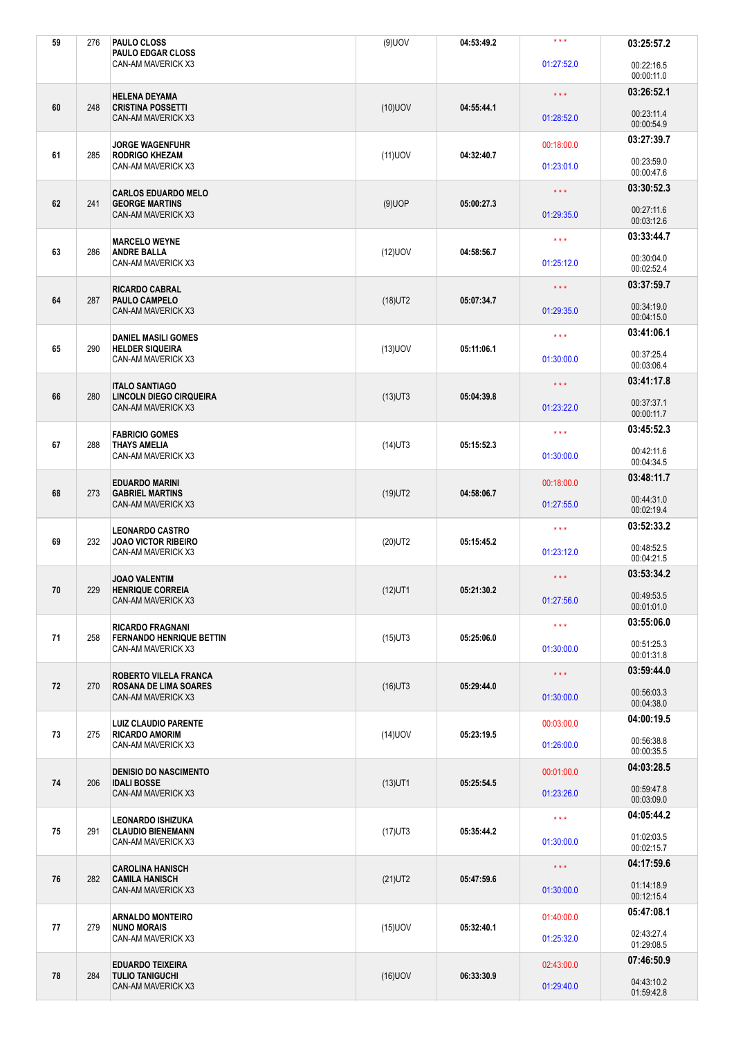| 59 | 276 | PAULO CLOSS<br><b>PAULO EDGAR CLOSS</b>                           | $(9)$ UOV                | 04:53:49.2 | $***$                   | 03:25:57.2               |
|----|-----|-------------------------------------------------------------------|--------------------------|------------|-------------------------|--------------------------|
|    |     | CAN-AM MAVERICK X3                                                |                          |            | 01:27:52.0              | 00:22:16.5<br>00:00:11.0 |
|    |     | <b>HELENA DEYAMA</b>                                              |                          | 04:55:44.1 | $\star \star \star$     | 03:26:52.1               |
| 60 | 248 | <b>CRISTINA POSSETTI</b><br>CAN-AM MAVERICK X3                    | $(10)$ UOV               |            | 01:28:52.0              | 00:23:11.4<br>00:00:54.9 |
|    |     | <b>JORGE WAGENFUHR</b>                                            |                          |            | 00:18:00.0              | 03:27:39.7               |
| 61 | 285 | <b>RODRIGO KHEZAM</b><br>CAN-AM MAVERICK X3                       | $(11)$ UOV               | 04:32:40.7 | 01:23:01.0              | 00:23:59.0<br>00:00:47.6 |
|    |     | <b>CARLOS EDUARDO MELO</b>                                        |                          |            | $\star \star \star$     | 03:30:52.3               |
| 62 | 241 | <b>GEORGE MARTINS</b><br>CAN-AM MAVERICK X3                       | $(9)$ UOP                | 05:00:27.3 | 01:29:35.0              | 00:27:11.6<br>00:03:12.6 |
|    |     | <b>MARCELO WEYNE</b>                                              |                          |            | $\star\star\star$       | 03:33:44.7               |
| 63 | 286 | <b>ANDRE BALLA</b><br>CAN-AM MAVERICK X3                          | $(12)$ UOV               | 04:58:56.7 | 01:25:12.0              | 00:30:04.0<br>00:02:52.4 |
| 64 | 287 | <b>RICARDO CABRAL</b><br><b>PAULO CAMPELO</b>                     | $(18)$ UT2               | 05:07:34.7 | $\star$ $\star$ $\star$ | 03:37:59.7               |
|    |     | CAN-AM MAVERICK X3                                                |                          |            | 01:29:35.0              | 00:34:19.0<br>00:04:15.0 |
| 65 | 290 | <b>DANIEL MASILI GOMES</b><br><b>HELDER SIQUEIRA</b>              | $(13)$ UOV               | 05:11:06.1 | $\star$ $\star$ $\star$ | 03:41:06.1               |
|    |     | CAN-AM MAVERICK X3                                                |                          |            | 01:30:00.0              | 00:37:25.4<br>00:03:06.4 |
|    |     | <b>ITALO SANTIAGO</b>                                             |                          |            | $\star$ $\star$ $\star$ | 03:41:17.8               |
| 66 | 280 | <b>LINCOLN DIEGO CIRQUEIRA</b><br>CAN-AM MAVERICK X3              | $(13)$ UT3               | 05:04:39.8 | 01:23:22.0              | 00:37:37.1<br>00:00:11.7 |
|    |     | <b>FABRICIO GOMES</b>                                             |                          |            | $\star \star \star$     | 03:45:52.3               |
| 67 | 288 | <b>THAYS AMELIA</b><br>CAN-AM MAVERICK X3                         | $(14)$ UT3               | 05:15:52.3 | 01:30:00.0              | 00:42:11.6<br>00:04:34.5 |
|    | 273 | <b>EDUARDO MARINI</b><br><b>GABRIEL MARTINS</b>                   |                          |            | 00:18:00.0              | 03:48:11.7               |
| 68 |     | CAN-AM MAVERICK X3                                                | $(19)$ UT2               | 04:58:06.7 | 01:27:55.0              | 00:44:31.0<br>00:02:19.4 |
| 69 | 232 | <b>LEONARDO CASTRO</b><br><b>JOAO VICTOR RIBEIRO</b>              | $(20)$ UT2<br>05:15:45.2 |            | $\star \star \star$     | 03:52:33.2               |
|    |     | CAN-AM MAVERICK X3                                                |                          |            | 01:23:12.0              | 00:48:52.5<br>00:04:21.5 |
|    |     | <b>JOAO VALENTIM</b><br><b>HENRIQUE CORREIA</b>                   |                          |            | $\star \star \star$     | 03:53:34.2               |
| 70 | 229 | CAN-AM MAVERICK X3                                                | $(12)$ UT1               | 05:21:30.2 | 01:27:56.0              | 00:49:53.5<br>00:01:01.0 |
| 71 |     | <b>RICARDO FRAGNANI</b><br>258<br><b>FERNANDO HENRIQUE BETTIN</b> | $(15)$ UT3               |            | $\star \star \star$     | 03:55:06.0               |
|    |     | CAN-AM MAVERICK X3                                                |                          | 05:25:06.0 |                         | 00:51:25.3               |
|    |     |                                                                   |                          |            | 01:30:00.0              | 00:01:31.8               |
| 72 |     | <b>ROBERTO VILELA FRANCA</b>                                      |                          |            | $\star\star\star$       | 03:59:44.0               |
|    | 270 | <b>ROSANA DE LIMA SOARES</b><br>CAN-AM MAVERICK X3                | $(16)$ UT3               | 05:29:44.0 | 01:30:00.0              | 00:56:03.3<br>00:04:38.0 |
|    |     | <b>LUIZ CLAUDIO PARENTE</b>                                       |                          |            | 00:03:00.0              | 04:00:19.5               |
| 73 | 275 | <b>RICARDO AMORIM</b><br>CAN-AM MAVERICK X3                       | $(14)$ UOV               | 05:23:19.5 | 01:26:00.0              | 00:56:38.8<br>00:00:35.5 |
|    |     | <b>DENISIO DO NASCIMENTO</b>                                      |                          |            | 00:01:00.0              | 04:03:28.5               |
| 74 | 206 | <b>IDALI BOSSE</b><br>CAN-AM MAVERICK X3                          | $(13)$ UT1               | 05:25:54.5 | 01:23:26.0              | 00:59:47.8<br>00:03:09.0 |
|    |     | LEONARDO ISHIZUKA                                                 |                          |            | $\star \star \star$     | 04:05:44.2               |
| 75 | 291 | <b>CLAUDIO BIENEMANN</b><br>CAN-AM MAVERICK X3                    | $(17)$ UT3               | 05:35:44.2 | 01:30:00.0              | 01:02:03.5<br>00:02:15.7 |
|    |     | <b>CAROLINA HANISCH</b>                                           |                          |            | $\star\star\star$       | 04:17:59.6               |
| 76 | 282 | <b>CAMILA HANISCH</b><br>CAN-AM MAVERICK X3                       | $(21)$ UT2               | 05:47:59.6 | 01:30:00.0              | 01:14:18.9<br>00:12:15.4 |
|    |     | <b>ARNALDO MONTEIRO</b>                                           |                          |            | 01:40:00.0              | 05:47:08.1               |
| 77 | 279 | <b>NUNO MORAIS</b><br>CAN-AM MAVERICK X3                          | $(15)$ UOV               | 05:32:40.1 | 01:25:32.0              | 02:43:27.4<br>01:29:08.5 |
| 78 | 284 | <b>EDUARDO TEIXEIRA</b><br><b>TULIO TANIGUCHI</b>                 | $(16)$ UOV               | 06:33:30.9 | 02:43:00.0              | 07:46:50.9<br>04:43:10.2 |